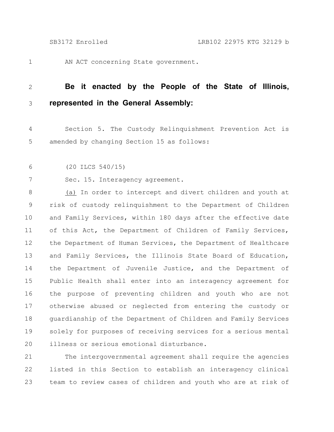1

AN ACT concerning State government.

## **Be it enacted by the People of the State of Illinois, represented in the General Assembly:** 2 3

Section 5. The Custody Relinquishment Prevention Act is amended by changing Section 15 as follows: 4 5

(20 ILCS 540/15) 6

7

Sec. 15. Interagency agreement.

(a) In order to intercept and divert children and youth at risk of custody relinquishment to the Department of Children and Family Services, within 180 days after the effective date of this Act, the Department of Children of Family Services, the Department of Human Services, the Department of Healthcare and Family Services, the Illinois State Board of Education, the Department of Juvenile Justice, and the Department of Public Health shall enter into an interagency agreement for the purpose of preventing children and youth who are not otherwise abused or neglected from entering the custody or guardianship of the Department of Children and Family Services solely for purposes of receiving services for a serious mental illness or serious emotional disturbance. 8 9 10 11 12 13 14 15 16 17 18 19 20

The intergovernmental agreement shall require the agencies listed in this Section to establish an interagency clinical team to review cases of children and youth who are at risk of 21 22 23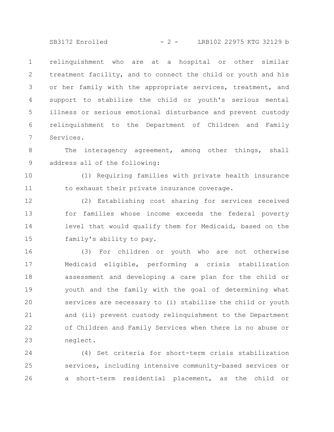SB3172 Enrolled - 2 - LRB102 22975 KTG 32129 b

relinquishment who are at a hospital or other similar treatment facility, and to connect the child or youth and his or her family with the appropriate services, treatment, and support to stabilize the child or youth's serious mental illness or serious emotional disturbance and prevent custody relinquishment to the Department of Children and Family Services. 1 2 3 4 5 6 7

The interagency agreement, among other things, shall address all of the following: 8 9

(1) Requiring families with private health insurance to exhaust their private insurance coverage. 10 11

(2) Establishing cost sharing for services received for families whose income exceeds the federal poverty level that would qualify them for Medicaid, based on the family's ability to pay. 12 13 14 15

(3) For children or youth who are not otherwise Medicaid eligible, performing a crisis stabilization assessment and developing a care plan for the child or youth and the family with the goal of determining what services are necessary to (i) stabilize the child or youth and (ii) prevent custody relinquishment to the Department of Children and Family Services when there is no abuse or neglect. 16 17 18 19 20 21 22 23

(4) Set criteria for short-term crisis stabilization services, including intensive community-based services or a short-term residential placement, as the child or 24 25 26